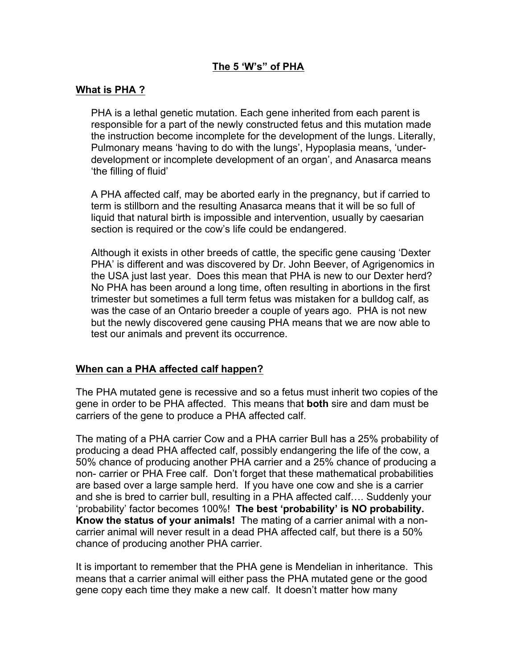# **The 5 'W's" of PHA**

## **What is PHA ?**

PHA is a lethal genetic mutation. Each gene inherited from each parent is responsible for a part of the newly constructed fetus and this mutation made the instruction become incomplete for the development of the lungs. Literally, Pulmonary means 'having to do with the lungs', Hypoplasia means, 'underdevelopment or incomplete development of an organ', and Anasarca means 'the filling of fluid'

A PHA affected calf, may be aborted early in the pregnancy, but if carried to term is stillborn and the resulting Anasarca means that it will be so full of liquid that natural birth is impossible and intervention, usually by caesarian section is required or the cow's life could be endangered.

Although it exists in other breeds of cattle, the specific gene causing 'Dexter PHA' is different and was discovered by Dr. John Beever, of Agrigenomics in the USA just last year. Does this mean that PHA is new to our Dexter herd? No PHA has been around a long time, often resulting in abortions in the first trimester but sometimes a full term fetus was mistaken for a bulldog calf, as was the case of an Ontario breeder a couple of years ago. PHA is not new but the newly discovered gene causing PHA means that we are now able to test our animals and prevent its occurrence.

#### **When can a PHA affected calf happen?**

The PHA mutated gene is recessive and so a fetus must inherit two copies of the gene in order to be PHA affected. This means that **both** sire and dam must be carriers of the gene to produce a PHA affected calf.

The mating of a PHA carrier Cow and a PHA carrier Bull has a 25% probability of producing a dead PHA affected calf, possibly endangering the life of the cow, a 50% chance of producing another PHA carrier and a 25% chance of producing a non- carrier or PHA Free calf. Don't forget that these mathematical probabilities are based over a large sample herd. If you have one cow and she is a carrier and she is bred to carrier bull, resulting in a PHA affected calf…. Suddenly your 'probability' factor becomes 100%! **The best 'probability' is NO probability. Know the status of your animals!** The mating of a carrier animal with a noncarrier animal will never result in a dead PHA affected calf, but there is a 50% chance of producing another PHA carrier.

It is important to remember that the PHA gene is Mendelian in inheritance. This means that a carrier animal will either pass the PHA mutated gene or the good gene copy each time they make a new calf. It doesn't matter how many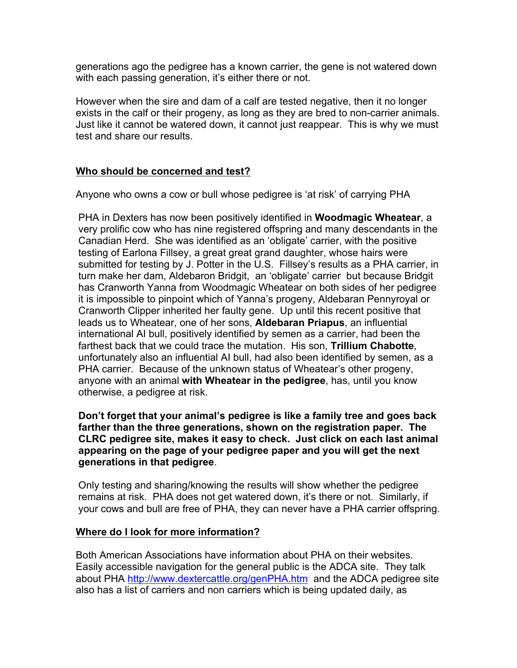generations ago the pedigree has a known carrier, the gene is not watered down with each passing generation, it's either there or not.

However when the sire and dam of a calf are tested negative, then it no longer exists in the calf or their progeny, as long as they are bred to non-carrier animals. Just like it cannot be watered down, it cannot just reappear. This is why we must test and share our results.

# **Who should be concerned and test?**

Anyone who owns a cow or bull whose pedigree is 'at risk' of carrying PHA

PHA in Dexters has now been positively identified in **Woodmagic Wheatear**, a very prolific cow who has nine registered offspring and many descendants in the Canadian Herd. She was identified as an 'obligate' carrier, with the positive testing of Earlona Fillsey, a great great grand daughter, whose hairs were submitted for testing by J. Potter in the U.S. Fillsey's results as a PHA carrier, in turn make her dam, Aldebaron Bridgit, an 'obligate' carrier but because Bridgit has Cranworth Yanna from Woodmagic Wheatear on both sides of her pedigree it is impossible to pinpoint which of Yanna's progeny, Aldebaran Pennyroyal or Cranworth Clipper inherited her faulty gene. Up until this recent positive that leads us to Wheatear, one of her sons, **Aldebaran Priapus**, an influential international AI bull, positively identified by semen as a carrier, had been the farthest back that we could trace the mutation. His son, **Trillium Chabotte**, unfortunately also an influential AI bull, had also been identified by semen, as a PHA carrier. Because of the unknown status of Wheatear's other progeny, anyone with an animal **with Wheatear in the pedigree**, has, until you know otherwise, a pedigree at risk.

**Don't forget that your animal's pedigree is like a family tree and goes back farther than the three generations, shown on the registration paper. The CLRC pedigree site, makes it easy to check. Just click on each last animal appearing on the page of your pedigree paper and you will get the next generations in that pedigree**.

Only testing and sharing/knowing the results will show whether the pedigree remains at risk. PHA does not get watered down, it's there or not. Similarly, if your cows and bull are free of PHA, they can never have a PHA carrier offspring.

## **Where do I look for more information?**

Both American Associations have information about PHA on their websites. Easily accessible navigation for the general public is the ADCA site. They talk about PHA http://www.dextercattle.org/genPHA.htm and the ADCA pedigree site also has a list of carriers and non carriers which is being updated daily, as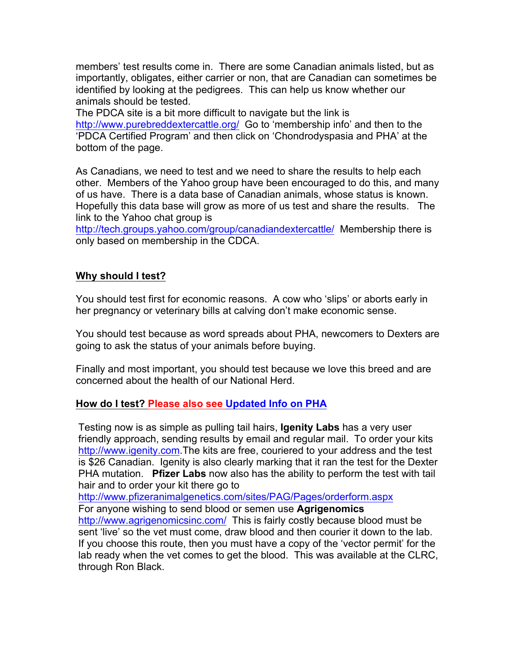members' test results come in. There are some Canadian animals listed, but as importantly, obligates, either carrier or non, that are Canadian can sometimes be identified by looking at the pedigrees. This can help us know whether our animals should be tested.

The PDCA site is a bit more difficult to navigate but the link is http://www.purebreddextercattle.org/ Go to 'membership info' and then to the 'PDCA Certified Program' and then click on 'Chondrodyspasia and PHA' at the bottom of the page.

As Canadians, we need to test and we need to share the results to help each other. Members of the Yahoo group have been encouraged to do this, and many of us have. There is a data base of Canadian animals, whose status is known. Hopefully this data base will grow as more of us test and share the results. The link to the Yahoo chat group is

http://tech.groups.yahoo.com/group/canadiandextercattle/ Membership there is only based on membership in the CDCA.

# **Why should I test?**

You should test first for economic reasons. A cow who 'slips' or aborts early in her pregnancy or veterinary bills at calving don't make economic sense.

You should test because as word spreads about PHA, newcomers to Dexters are going to ask the status of your animals before buying.

Finally and most important, you should test because we love this breed and are concerned about the health of our National Herd.

## **How do I test? Please also see Updated Info on PHA**

Testing now is as simple as pulling tail hairs, **Igenity Labs** has a very user friendly approach, sending results by email and regular mail. To order your kits http://www.igenity.com.The kits are free, couriered to your address and the test is \$26 Canadian. Igenity is also clearly marking that it ran the test for the Dexter PHA mutation. **Pfizer Labs** now also has the ability to perform the test with tail hair and to order your kit there go to

http://www.pfizeranimalgenetics.com/sites/PAG/Pages/orderform.aspx

For anyone wishing to send blood or semen use **Agrigenomics**

http://www.agrigenomicsinc.com/ This is fairly costly because blood must be sent 'live' so the vet must come, draw blood and then courier it down to the lab. If you choose this route, then you must have a copy of the 'vector permit' for the lab ready when the vet comes to get the blood. This was available at the CLRC, through Ron Black.